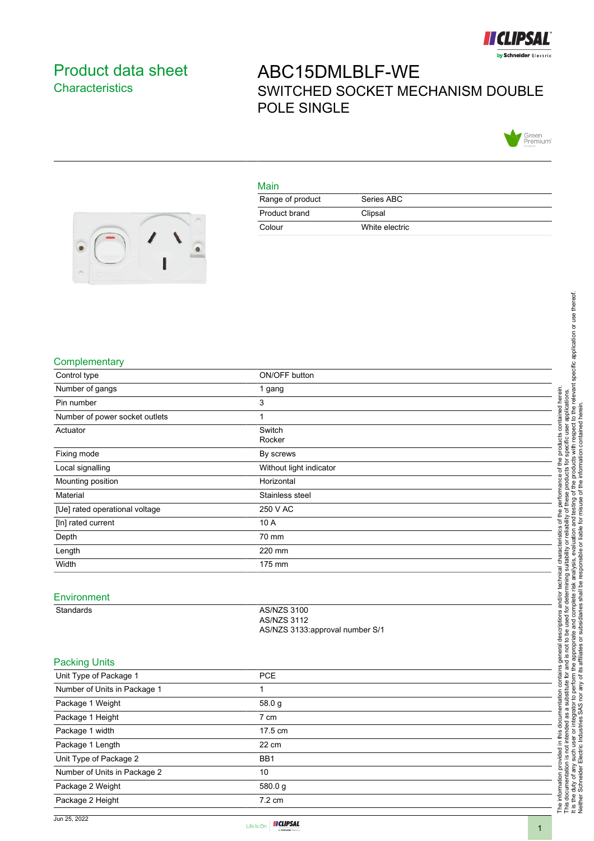

## <span id="page-0-0"></span>Product data sheet **Characteristics**

# ABC15DMLBLF-WE SWITCHED SOCKET MECHANISM DOUBLE POLE SINGLE



#### Main

| Range of product | Series ABC     |
|------------------|----------------|
| Product brand    | Clipsal        |
| Colour           | White electric |



#### **Complementary**

| Control type                   | ON/OFF button                            |
|--------------------------------|------------------------------------------|
| Number of gangs                | 1 gang                                   |
| Pin number                     | 3                                        |
| Number of power socket outlets | $\mathbf{1}$                             |
| Actuator                       | Switch<br>Rocker                         |
| Fixing mode                    | By screws                                |
| Local signalling               | Without light indicator                  |
| Mounting position              | Horizontal                               |
| Material                       | Stainless steel                          |
| [Ue] rated operational voltage | 250 V AC                                 |
| [In] rated current             | 10 A                                     |
| Depth                          | 70 mm                                    |
| Length                         | 220 mm                                   |
| Width                          | 175 mm                                   |
| Environment<br>Standards       | <b>AS/NZS 3100</b><br><b>AS/NZS 3112</b> |
|                                | AS/NZS 3133:approval number S/1          |
| <b>Packing Units</b>           |                                          |
| Unit Type of Package 1         | PCE                                      |
| Number of Units in Package 1   | 1                                        |
| Package 1 Weight               | 58.0 g                                   |
| Package 1 Height               | 7 cm                                     |
| Package 1 width                | 17.5 cm                                  |
| Package 1 Length               | 22 cm                                    |
| Unit Type of Package 2         | BB1                                      |
| Number of Units in Package 2   | 10                                       |
| Package 2 Weight               | 580.0g                                   |
| Package 2 Height               | 7.2 cm                                   |